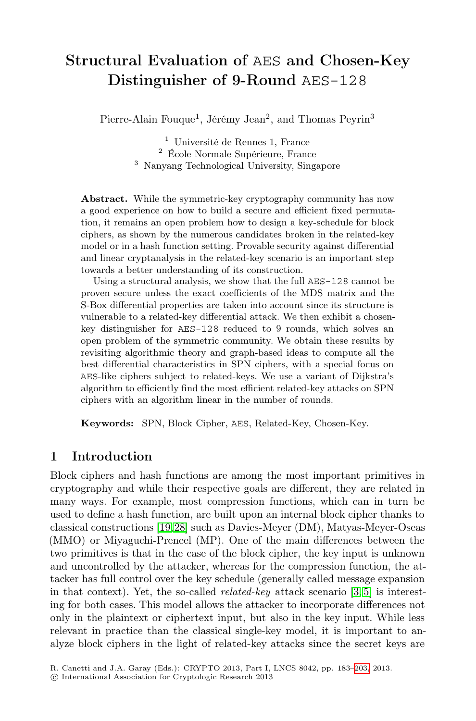# Structural Evaluation of AES and Chosen-Key Distinguisher of 9-Round AES-128

Pierre-Alain Fouque<sup>1</sup>, Jérémy Jean<sup>2</sup>, and Thomas Peyrin<sup>3</sup>

<sup>1</sup> Université de Rennes 1, France <sup>2</sup> École Normale Supérieure, France <sup>3</sup> Nanyang Technological University, Singapore

Abstract. While the symmetric-key cryptography community has now a good experience on how to build a secure and efficient fixed permutation, it remains an open problem how to design a key-schedule for block ciphers, as shown by the numerous candidates broken in the related-key model or in a hash function setting. Provable security against differential and linear cryptanalysis in the related-key scenario is an important step towards a better understanding of its construction.

Using a structural analysis, we show that the full AES-128 cannot be proven secure unless the exact coefficients of the MDS matrix and the S-Box differential properties are taken into account since its structure is vulnerable to a related-key differential attack. We then exhibit a chosenkey distinguisher for AES-128 reduced to 9 rounds, which solves an open problem of the symmetric community. We obtain these results by revisiting algorithmic theory and graph-based ideas to compute all the best differential characteristics in SPN ciphers, with a special focus on AES-like ciphers subject to related-keys. We use a variant of Dijkstra's algorithm to efficiently find the most efficient related-key attacks on SPN ciphers with an algorithm linear in the number of rounds.

[K](#page-18-0)[eyw](#page-19-0)ords: SPN, Block Cipher, AES, Related-Key, Chosen-Key.

# 1 Introduction

Block ciphers and hash functions are among the most important primitives in cryptography and while their respective goals [a](#page-17-0)[re](#page-17-1) different, they are related in many ways. For example, most compression functions, which can in turn be used to define a hash function, are built upon an internal block cipher thanks to classical constructions [19,28] such as Davies-Meyer (DM), Matyas-Meyer-Oseas (MMO) or Miyaguchi-Preneel (MP). One of the main differences between the two primitives is that in the case of the block cipher, the key input is unknown and uncontrolled by the attacker, whereas for [the](#page-20-0) compression function, the attacker has full control over the key schedule (generally called message expansion in that context). Yet, the so-called *related-key* attack scenario [3, 5] is interesting for both cases. This model allows the attacker to incorporate differences not only in the plaintext or ciphertext input, but also in the key input. While less relevant in practice than the classical single-key model, it is important to analyze block ciphers in the light of related-key attacks since the secret keys are

R. Canetti and J.A. Garay (Eds.): CRYPTO 2013, Part I, LNCS 8042, pp. 183–203, 2013.

<sup>-</sup>c International Association for Cryptologic Research 2013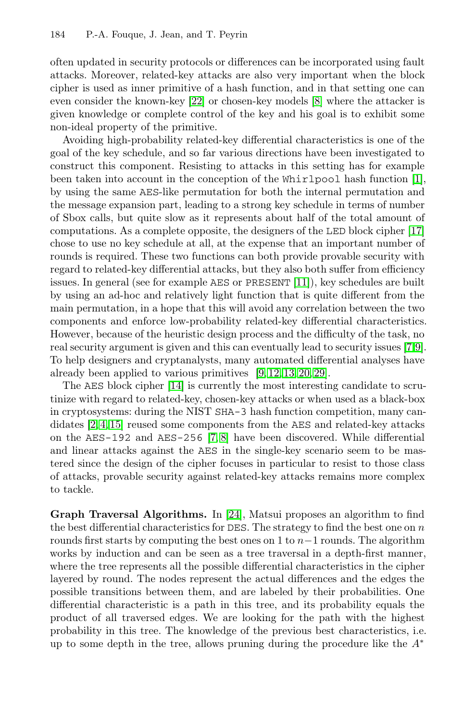often updated in security protocols or differences can be incorporated using fault attacks. Moreover, related-key attacks are also very impor[ta](#page-17-2)nt when the block cipher is used as inner primitive of a hash function, and in that setting one can even consider the known-key [22] or chosen-key models [8] where the attacker is given knowledge or complete control of the key and his goal is to exhibit some non-ideal property of the primitive.

Avoiding high-probability related-key differential chara[cter](#page-18-1)istics is one of the goal of the key schedule, and so far various directions have been investigated to construct this component. Resisting to attacks in this setting has for example been taken into account in the co[ncep](#page-18-2)tion of the Whirlpool hash function [1], by using the same AES-like permutation for both the internal permutation and the message expansion part, leading to a strong key schedule in terms of number of Sbox calls, but quite slow as it represents about half of the total amount of computations. As a complete opposite, the designers of the LED block cipher [17] chose to use no key schedule at all, at the expense that a[n i](#page-17-3)[m](#page-18-3)portant number of rounds is required. These two functions can both provide provable security with regard to related-key diffe[ren](#page-18-3)[tia](#page-18-4)[l at](#page-18-5)[tac](#page-18-6)[ks,](#page-19-1) but they also both suffer from efficiency issues. [In g](#page-18-7)eneral (see for example AES or PRESENT [11]), key schedules are built by using an ad-hoc and relatively light function that is quite different from the main permutation, in a hope that this will avoid any correlation between the two components and enforce low-probability related-key differential characteristics. However, becau[se](#page-17-3) [of](#page-17-4) the heuristic design process and the difficulty of the task, no real security argument is given and this can eventually lead to security issues [7,9]. To help designers and cryptanalysts, many automated differential analyses have already been applied to various primitives [9, 12, 13, 20, 29].

The AES block cipher [14] is currently the most interesting candidate to scrutinize with regard to related-key, chosen-key attacks or when used as a black-box in cryptosystems: d[urin](#page-18-8)g the NIST SHA-3 hash function competition, many candidates [2, 4, 15] reused some components from the AES and related-key attacks on the AES-192 and AES-256 [7, 8] have been discovered. While differential and linear attacks against the AES in the single-key scenario seem to be mastered since the design of the cipher focuses in particular to resist to those class of attacks, provable security against related-key attacks remains more complex to tackle.

Graph Traversal Algorithms. In [24], Matsui proposes an algorithm to find the best differential characteristics for DES. The strategy to find the best one on  $n$ rounds first starts by computing the best ones on 1 to  $n-1$  rounds. The algorithm works by induction and can be seen as a tree traversal in a depth-first manner, where the tree represents all the possible differential characteristics in the cipher layered by round. The nodes represent the actual differences and the edges the possible transitions between them, and are labeled by their probabilities. One differential characteristic is a path in this tree, and its probability equals the product of all traversed edges. We are looking for the path with the highest probability in this tree. The knowledge of the previous best characteristics, i.e. up to some depth in the tree, allows pruning during the procedure like the  $A^*$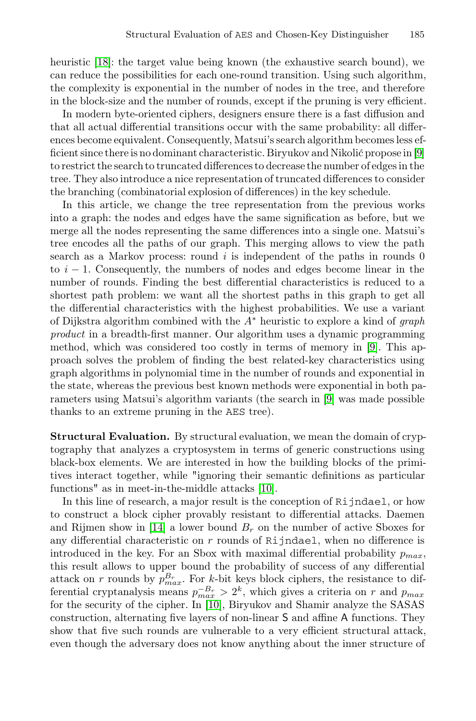heuristic [18]: the target value being known (the exhaustiv[e](#page-18-3) search bound), we can reduce the possibilities for each one-round transition. Using such algorithm, the complexity is exponential in the number of nodes in the tree, and therefore in the block-size and the number of rounds, except if the pruning is very efficient.

In modern byte-oriented ciphers, designers ensure there is a fast diffusion and that all actual differential transitions occur with the same probability: all differences become equivalent. Consequently, Matsui's search algorithm becomes less efficient since there is no dominant characteristic. Biryukov and Nikolić propose in [9] to restrict the search to truncated differences to decrease the number of edges in the tree. They also introduce a nice representation of truncated differences to consider the branching (combinatorial explosion of differences) in the key schedule.

In this article, we change the tree representation from the previous works into a graph: the nodes and edges have the same signification as before, but we merge all the nodes representing the same differences into a single one. Matsui's tree encodes all the paths of our graph. This me[rg](#page-18-3)ing allows to view the path search as a Markov process: round  $i$  is independent of the paths in rounds 0 to  $i - 1$ . Consequently, the numbers of nodes and edges become linear in the number of rounds. Finding the best differential characteristics is reduced to a shortest path problem: we want all the [sh](#page-18-3)ortest paths in this graph to get all the differential characteristics with the highest probabilities. We use a variant of Dijkstra algorithm combined with the A<sup>∗</sup> heuristic to explore a kind of *graph product* in a breadth-first manner. Our algorithm uses a dynamic programming method, which was considered too costly in terms of memory in [9]. This approach solves the problem of finding the best related-key characteristics using graph algorithms in polynomial time in the number of rounds and exponential in the state, whereas the prev[iou](#page-18-9)s best known methods were exponential in both parameters using Matsui's algorithm variants (the search in [9] was made possible thanks to an extreme pruning in the AES tree).

Str[uct](#page-18-7)ural Evaluation. By structural evaluation, we mean the domain of cryptography that analyzes a cryptosystem in terms of generic constructions using black-box elements. We are interested in how the building blocks of the primitives interact together, while "ignoring their semantic definitions as particular functions" as in meet-in-the-middle attacks [10].

In this line o[f re](#page-18-9)search, a major result is the conception of Rijndael, or how to construct a block cipher provably resistant to differential attacks. Daemen and Rijmen show in [14] a lower bound  $B_r$  on the number of active Sboxes for any differential characteristic on  $r$  rounds of Rijndael, when no difference is introduced in the key. For an Sbox with maximal differential probability  $p_{max}$ , this result allows to upper bound the probability of success of any differential attack on r rounds by  $p_{max}^{B_r}$ . For k-bit keys block ciphers, the resistance to differential cryptanalysis means  $p_{max}^{-B_r} > 2^k$ , which gives a criteria on r and  $p_{max}$  for the security of the cipher. In [10], Biryukov and Shamir analyze the SASAS construction, alternating five layers of non-linear S and affine A functions. They show that five such rounds are vulnerable to a very efficient structural attack, even though the adversary does not know anything about the inner structure of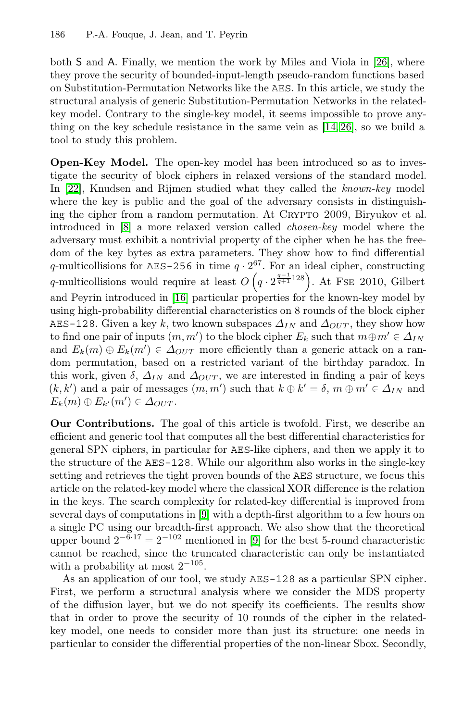both S and A. Finally, we mention the work by Miles and Viola in [26], where they prove the security of bounded-input-length pseudo-random functions based on Substitution-Permutation Networks like the AES. In this article, we study the structural analysis of generic Substitution-Permutation Networks in the relatedkey model. Contrary to the single-key model, it seems impossible to prove anything on the key schedule resistance in the same vein as [14, 26], so we build a tool to study this problem.

Open-Key Model. The open-key model has been introduced so as to investigate the security of block ciphers in relaxed versions of the standard model. In [22], Knudsen and Rijmen studied what they called the *known-key* model w[he](#page-18-10)re the [k](#page-18-10)ey is public and the goal of the adversary consists in distinguishing the cipher from a random permutation. At CRYPTO 2009, Biryukov et al. introduced in [8] a more relaxed version called *chosen-key* model where the adversary must exhibit a nontrivial property of the cipher when he has the freedom of the key bytes as extra parameters. They show how to find differential q-multicollisions for AES-256 in time  $q \cdot 2^{67}$ . For an ideal cipher, constructing q-multicollisions would require at least  $O(q \cdot 2^{\frac{q-1}{q+1}128})$ . At Fse 2010, Gilbert and Peyrin introduced in [16] particular properties for the known-key model by using high-probability differential characteristics on 8 rounds of the block cipher AES-128. Given a key k, two known subspaces  $\Delta_{IN}$  and  $\Delta_{OUT}$ , they show how to find one pair of inputs  $(m, m')$  to the block cipher  $E_k$  such that  $m \oplus m' \in \Delta_{IN}$ <br>and  $E_k(m) \oplus E_k(m') \in \Delta_{OVar}$  more efficiently than a generic attack on a ran and  $E_k(m) \oplus E_k(m') \in \Delta_{OUT}$  more efficiently than a generic attack on a ran-<br>dom permutation, based on a restricted variant of the birthday paradox. In dom permutation, based on a restricted variant of the birthday paradox. In this work, given  $\delta$ ,  $\Delta_{IN}$  and  $\Delta_{OUT}$ , we are interested in finding a pair of keys  $(k, k')$  and a pair of messages  $(m, m')$  such that  $k \oplus k' = \delta$ ,  $m \oplus m' \in \Delta_{IN}$  and  $F_k(m) \oplus F_k(m') \in \Delta_{CFT}$  $E_k(m) \oplus E_{k'}$  $(m') \in \Delta_{OUT}$ .

Our Contri[bu](#page-18-3)tions. The goal of this article is twofold. First, we describe an efficient and generic tool [th](#page-18-3)at computes all the best differential characteristics for general SPN ciphers, in particular for AES-like ciphers, and then we apply it to the structure of the AES-128. While our algorithm also works in the single-key setting and retrieves the tight proven bounds of the AES structure, we focus this article on the related-key model where the classical XOR difference is the relation in the keys. The search complexity for related-key differential is improved from several days of computations in [9] with a depth-first algorithm to a few hours on a single PC using our breadth-first approach. We also show that the theoretical upper bound  $2^{-6.17} = 2^{-102}$  mentioned in [9] for the best 5-round characteristic cannot be reached, since the truncated characteristic can only be instantiated with a probability at most  $2^{-105}$ .

As an application of our tool, we study AES-128 as a particular SPN cipher. First, we perform a structural analysis where we consider the MDS property of the diffusion layer, but we do not specify its coefficients. The results show that in order to prove the security of 10 rounds of the cipher in the relatedkey model, one needs to consider more than just its structure: one needs in particular to consider the differential properties of the non-linear Sbox. Secondly,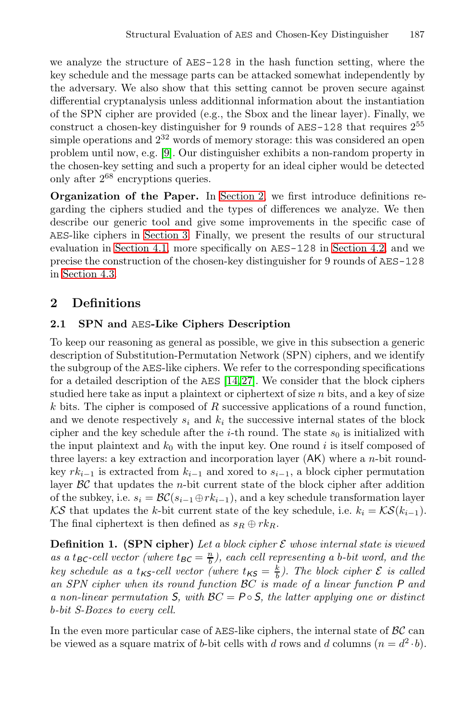<span id="page-4-0"></span>we an[al](#page-18-3)yze the structure of AES-128 in the hash function setting, where the key schedule and the message parts can be attacked somewhat independently by the adversary. We also show that this setting cannot be proven secure against differential crypta[nalysis](#page-4-0) [un](#page-4-0)less additionnal information about the instantiation of the SPN cipher are provided (e.g., the Sbox and the linear layer). Finally, we construct a chosen-key distinguisher for 9 rounds of  $AES-128$  that requires  $2^{55}$ si[mple](#page-6-0) [opera](#page-6-0)tions and  $2^{32}$  words of memory storage: this was considered an open [problem](#page-11-0) until now, e.g. [9]. Our distinguis[her](#page-13-0) [exhibits](#page-13-0) a non-random property in the chosen-key setting and such a property for an ideal cipher would be detected only after 2<sup>68</sup> encryptions queries.

Organization of the Paper. In Section 2, we first introduce definitions regarding the ciphers studied and the types of differences we analyze. We then describe our generic tool and give some improvements in the specific case of AES-like ciphers in Section 3. Finally, we present the results of our structural evaluation in Section 4.1, more specifically on AES-128 in Section 4.2, and we precise the construction of the chosen-key distinguisher for 9 rounds of AES-128 in Section 4.3.

# 2 Definitions

### 2.1 SPN and AES-Like Ciphers Description

To keep our reasoning as general as possible, we give in this subsection a generic description of Substitution-Permutation Network (SPN) ciphers, and we identify the subgroup of the AES-like ciphers. We refer to the corresponding specifications for a detailed description of the AES [14, 27]. We consider that the block ciphers studied here take as input a plaintext or ciphertext of size  $n$  bits, and a key of size  $k$  bits. The cipher is composed of R successive applications of a round function, and we denote respectively  $s_i$  and  $k_i$  the successive internal states of the block cipher and the key schedule after the *i*-th round. The state  $s_0$  is initialized with the input plaintext and  $k_0$  with the input key. One round i is itself composed of three layers: a key extraction and incorporation layer  $(AK)$  where a *n*-bit roundkey  $rk_{i-1}$  is extracted from  $k_{i-1}$  and xored to  $s_{i-1}$ , a block cipher permutation layer  $BC$  that updates the *n*-bit current state of the block cipher after addition of the subkey, i.e.  $s_i = \mathcal{BC}(s_{i-1} \oplus rk_{i-1})$ , and a key schedule transformation layer KS that updates the k-bit current state of the key schedule, i.e.  $k_i = \mathcal{KS}(k_{i-1}).$ The final ciphertext is then defined as  $s_R \oplus r k_R$ .

Definition 1. (SPN cipher) *Let a block cipher* E *whose internal state is viewed as a* t<sub>BC</sub>-cell vector (where  $t_{BC} = \frac{n}{b}$ ), each cell representing a b-bit word, and the *key schedule as a t<sub>KS</sub>-cell vector (where*  $t_{\mathsf{KS}} = \frac{k}{b}$ ). The block cipher  $\mathcal{E}$  is called an SPN cipher when its round function  $BC$  is made of a linear function  $P$  and *an SPN cipher when its round function* BC *is made of a linear function P and a non-linear permutation S, with*  $BC = PoS$ *, the latter applying one or distinct* b*-bit S-Boxes to every cell.*

In the even more particular case of AES-like ciphers, the internal state of  $BC$  can be viewed as a square matrix of b-bit cells with d rows and d columns  $(n = d^2 \cdot b)$ .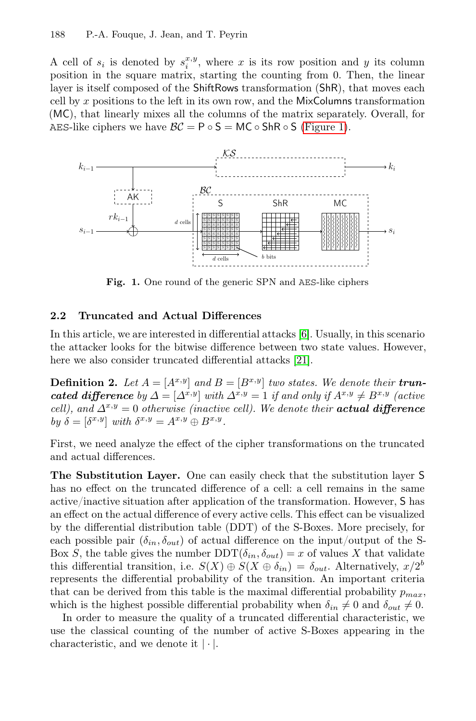<span id="page-5-0"></span>A cell of  $s_i$  is denoted by  $s_i^{x,y}$ , where x is its row position and y its column position in the square matrix, starting the counting from 0. Then, the linear layer is itself composed of the ShiftRows transformation (ShR), that moves each cell by x positions to the left in its own row, and the MixColumns transformation (MC), that linearly mixes all the columns of the matrix separately. Overall, for AES-like ciphers we have  $BC = P \circ S = MC \circ ShR \circ S$  (Figure 1).



Fig. 1. One round of the generic SPN and AES-like ciphers

#### 2.2 Truncated and Actual Differences

In this article, we are interested in differential attacks [6]. Usually, in this scenario the attacker looks for the bitwise difference between two state values. However, here we also consider truncated differential attacks [21].

**Definition 2.** Let  $A = [A^{x,y}]$  and  $B = [B^{x,y}]$  *two states. We denote their truncated difference by*  $\Delta = [\Delta^{x,y}]$  *with*  $\Delta^{x,y} = 1$  *if and only if*  $A^{x,y} \neq B^{x,y}$  *(active cell), and*  $\Delta^{x,y} = 0$  *otherwise (inactive cell). We denote their actual difference by*  $\delta = [\delta^{x,y}]$  *with*  $\delta^{x,y} = A^{x,y} \oplus B^{x,y}$ *.* 

First, we need analyze the effect of the cipher transformations on the truncated and actual differences.

The Substitution Layer. One can easily check that the substitution layer S has no effect on the truncated difference of a cell: a cell remains in the same active/inactive situation after application of the transformation. However, S has an effect on the actual difference of every active cells. This effect can be visualized by the differential distribution table (DDT) of the S-Boxes. More precisely, for each possible pair  $(\delta_{in}, \delta_{out})$  of actual difference on the input/output of the S-Box S, the table gives the number  $DDT(\delta_{in}, \delta_{out}) = x$  of values X that validate this differential transition, i.e.  $S(X) \oplus S(X \oplus \delta_{in}) = \delta_{out}$ . Alternatively,  $x/2^b$ represents the differential probability of the transition. An important criteria that can be derived from this table is the maximal differential probability  $p_{max}$ , which is the highest possible differential probability when  $\delta_{in} \neq 0$  and  $\delta_{out} \neq 0$ .

In order to measure the quality of a truncated differential characteristic, we use the classical counting of the number of active S-Boxes appearing in the characteristic, and we denote it |·|.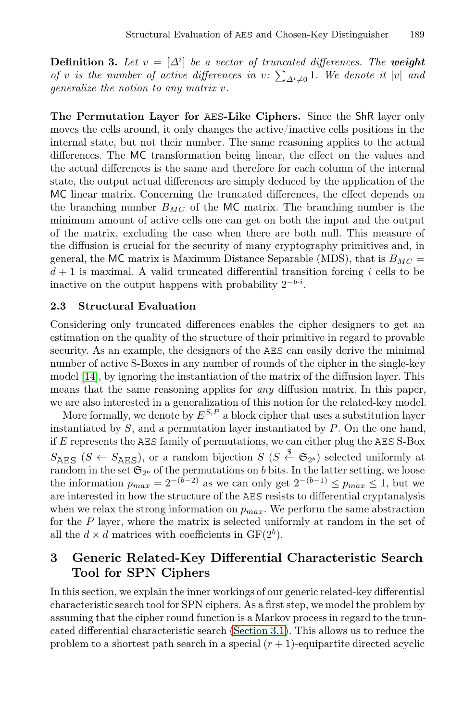**Definition 3.** Let  $v = [\Delta^i]$  be a vector of truncated differences. The **weight** of *n* is the number of active differences in  $v \sum_{n=1}^{\infty}$  We denote it  $|v|$  and *of* v *is the number of active differences in*  $v: \sum_{\Delta^i \neq 0} 1$ *. We denote it*  $|v|$  *and generalize the notion to any matrix y generalize the notion to any matrix* v*.*

The Permutation Layer for AES-Like Ciphers. Since the ShR layer only moves the cells around, it only changes the active/inactive cells positions in the internal state, but not their number. The same reasoning applies to the actual differences. The MC transformation being linear, the effect on the values and the actual differences is the same and therefore for each column of the internal state, the output actual differences are simply deduced by the application of the MC linear matrix. Concerning the truncated differences, the effect depends on the branching number  $B_{MC}$  of the MC matrix. The branching number is the minimum amount of active cells one can get on both the input and the output of the matrix, excluding the case when there are both null. This measure of the diffusion is crucial for the security of many cryptography primitives and, in general, the MC matrix is Maximum Distance Separable (MDS), that is  $B_{MC}$  =  $d+1$  is maximal. A valid truncated differential transition forcing i cells to be inactive on the output happens with probability  $2^{-b \cdot i}$ .

#### 2.3 Structural Evaluation

<span id="page-6-0"></span>Considering only truncated differences enables the cipher designers to get an estimation on the quality of the structure of their primitive in regard to provable security. As an example, the designers of the AES can easily derive the minimal number of active S-Boxes in any number of rounds of the cipher in the single-key model [14], by ignoring the instantiation of the matrix of the diffusion layer. This means that the same reasoning applies for *any* diffusion matrix. In this paper, we are also interested in a generalization of this notion for the related-key model.

More formally, we denote by  $E^{S,P}$  a block cipher that uses a substitution layer instantiated by  $S$ , and a permutation layer instantiated by  $P$ . On the one hand, if  $E$  represents the AES family of permutations, we can either plug the AES S-Box  $S_{\text{AES}}$  ( $S \leftarrow S_{\text{AES}}$ ), or a random bijection  $S$  ( $S \stackrel{\$}{\leftarrow} \mathfrak{S}_{2^b}$ ) selected uniformly at random in the set  $\mathfrak{S}_{2^b}$  of the permutations on b bits. In the latter setting, we loose the information  $p_{max} = 2^{-(b-2)}$  as we can only get  $2^{-(b-1)} \le p_{max} \le 1$ , but we are interested in how the structure of the  $\Delta$ FS resists to differential cryptanalysis are interested in how the structure of the AES resists to differential cryptanalysis when we relax the strong information on  $p_{max}$ . We perform the same abstraction for the P layer, where the matrix is selected uniformly at random in the set of all the  $d \times d$  $d \times d$  $d \times d$  matrices [with](#page-7-0) [coeffi](#page-7-0)cients in  $GF(2^b)$ .

# 3 Generic Related-Key Differential Characteristic Search Tool for SPN Ciphers

In this section, we explain the inner workings of our generic related-key differential characteristic search tool for SPN ciphers. As a first step, we model the problem by assuming that the cipher round function is a Markov process in regard to the truncated differential characteristic search (Section 3.1). This allows us to reduce the problem to a shortest path search in a special  $(r + 1)$ -equipartite directed acyclic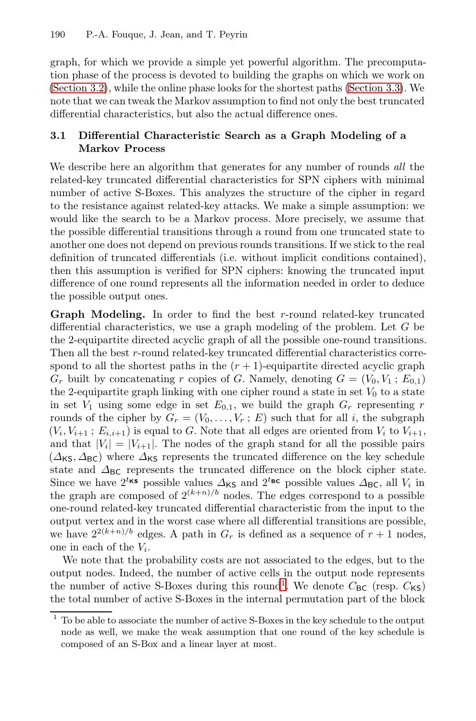<span id="page-7-0"></span>graph, for which we provide a simple yet powerful algorithm. The precomputation phase of the process is devoted to building the graphs on which we work on (Section 3.2), while the online phase looks for the shortest paths (Section 3.3). We note that we can tweak the Markov assumption to find not only the best truncated differential characteristics, but also the actual difference ones.

# 3.1 Differential Characteristic Search as a Graph Modeling of a Markov Process

We describe here an algorithm that generates for any number of rounds *all* the related-key truncated differential characteristics for SPN ciphers with minimal number of active S-Boxes. This analyzes the structure of the cipher in regard to the resistance against related-key attacks. We make a simple assumption: we would like the search to be a Markov process. More precisely, we assume that the possible differential transitions through a round from one truncated state to another one does not depend on previous rounds transitions. If we stick to the real definition of truncated differentials (i.e. without implicit conditions contained), then this assumption is verified for SPN ciphers: knowing the truncated input difference of one round represents all the information needed in order to deduce the possible output ones.

Graph Modeling. In order to find the best r-round related-key truncated differential characteristics, we use a graph modeling of the problem. Let G be the 2-equipartite directed acyclic graph of all the possible one-round transitions. Then all the best r-round related-key truncated differential characteristics correspond to all the shortest paths in the  $(r + 1)$ -equipartite directed acyclic graph  $G_r$  built by concatenating r copies of G. Namely, denoting  $G = (V_0, V_1; E_{0,1})$ the 2-equipartite graph linking with one cipher round a state in set  $V_0$  to a state in set  $V_1$  using some edge in set  $E_{0,1}$ , we build the graph  $G_r$  representing r rounds of the cipher by  $G_r = (V_0, \ldots, V_r ; E)$  such that for all i, the subgraph  $(V_i, V_{i+1}; E_{i,i+1})$  is equal to G. Note that all edges are oriented from  $V_i$  to  $V_{i+1}$ , and that  $|V_i| = |V_{i+1}|$ . The nodes of the graph stand for all the possible pairs  $(\Delta_{\mathsf{KS}}, \Delta_{\mathsf{BC}})$  where  $\Delta_{\mathsf{KS}}$  represents the truncated difference on the key schedule state and  $\Delta_{BC}$  represents the truncated difference on the block cipher state. Since we have  $2^{t_{KS}}$  possible va[lu](#page-7-1)es  $\Delta_{KS}$  and  $2^{t_{BG}}$  possible values  $\Delta_{BC}$ , all  $V_i$  in the graph are composed of  $2^{(k+n)/b}$  podes. The edges correspond to a possible the graph are composed of  $2^{(k+n)/b}$  nodes. The edges correspond to a possible<br>one-round related key truncated differential characteristic from the input to the one-round related-key truncated differential characteristic from the input to the output vertex and in the worst case where all differential transitions are possible, we have  $2^{2(k+n)/b}$  edges. A path in  $G_r$  is defined as a sequence of  $r + 1$  nodes, one in each of the  $V_i$ .

<span id="page-7-1"></span>We note that the probability costs are not associated to the edges, but to the output nodes. Indeed, the number of active cells in the output node represents the number of active S-Boxes during this round<sup>1</sup>. We denote  $C_{BC}$  (resp.  $C_{KS}$ ) the total number of active S-Boxes in the internal permutation part of the block

 $1$  To be able to associate the number of active S-Boxes in the key schedule to the output node as well, we make the weak assumption that one round of the key schedule is composed of an S-Box and a linear layer at most.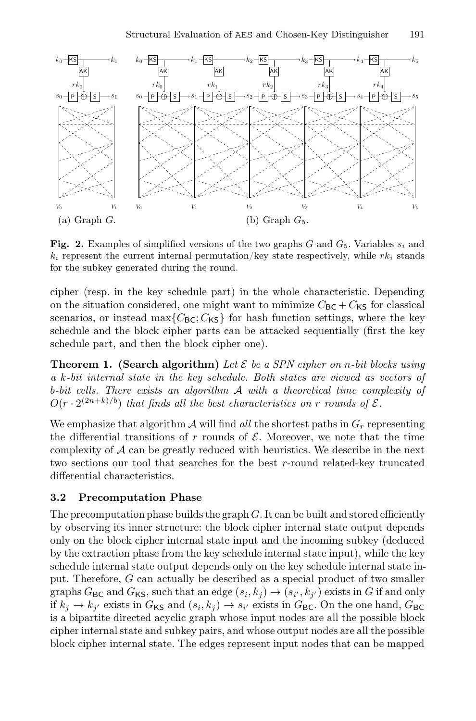

**Fig. 2.** Examples of simplified versions of the two graphs G and  $G_5$ . Variables  $s_i$  and  $k_i$  represent the current internal permutation/key state respectively, while  $rk_i$  stands for the subkey generated during the round.

cipher (resp. in the key schedule part) in the whole characteristic. Depending on the situation considered, one might want to minimize  $C_{BC} + C_{KS}$  for classical scenarios, or instead max $\{C_{BC}; C_{KS}\}$  for hash function settings, where the key schedule and the block cipher parts can be attacked sequentially (first the key schedule part, and then the block cipher one).

**Theorem 1.** (Search algorithm) Let  $\mathcal{E}$  be a SPN cipher on n-bit blocks using *a* k*-bit internal state in the key schedule. Both states are viewed as vectors of* b*-bit cells. There exists an algorithm* A *with a theoretical time complexity of*  $O(r \cdot 2^{(2n+k)/b})$  *that finds all the best characteristics on* r *rounds of*  $\mathcal{E}$ *.* 

We emphasize that algorithm  $A$  will find *all* the shortest paths in  $G_r$  representing the differential transitions of  $r$  rounds of  $\mathcal E$ . Moreover, we note that the time complexity of  $\mathcal A$  can be greatly reduced with heuristics. We describe in the next two sections our tool that searches for the best r-round related-key truncated differential characteristics.

### 3.2 Precomputation Phase

The precomputation phase builds the graph  $G$ . It can be built and stored efficiently by observing its inner structure: the block cipher internal state output depends only on the block cipher internal state input and the incoming subkey (deduced by the extraction phase from the key schedule internal state input), while the key schedule internal state output depends only on the key schedule internal state input. Therefore, G can actually be described as a special product of two smaller graphs  $G_{BC}$  and  $G_{KS}$ , such that an edge  $(s_i, k_j) \rightarrow (s_{i'}, k_{j'})$ <br>if  $k_i \rightarrow k_{i'}$  evists in  $G_{BC}$  and  $(s_i, k_i) \rightarrow s_{i'}$  evists in  $G_{BC}$ ) exists in  $G$  if and only if  $k_j \rightarrow k_{j'}$  exists in  $G_{\text{KS}}$  and  $(s_i, k_j) \rightarrow s_{i'}$  exists in  $G_{\text{BC}}$ . On the one hand,  $G_{\text{BC}}$  is a binartite directed acyclic graph whose input nodes are all the possible block is a bipartite directed acyclic graph whose input nodes are all the possible block cipher internal state and subkey pairs, and whose output nodes are all the possible block cipher internal state. The edges represent input nodes that can be mapped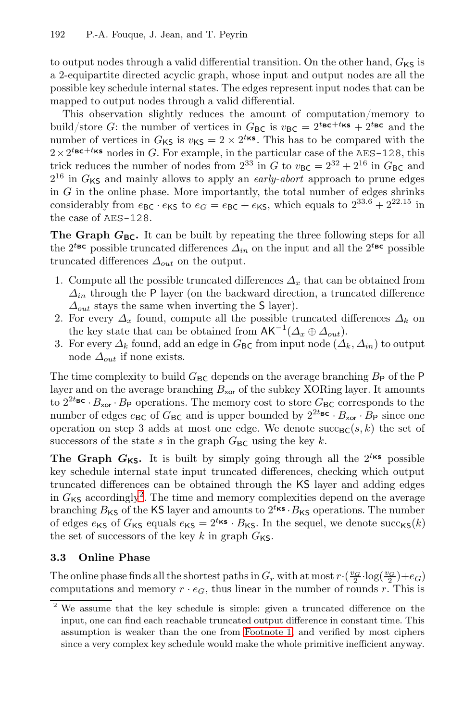to output nodes through a valid differential transition. On the other hand,  $G_{\text{KS}}$  is <sup>a</sup> 2-equipartite directed acyclic graph, whose input and output nodes are all the possible key schedule internal states. The edges represent input nodes that can be mapped to output nodes through a valid differential.

This observation slightly reduces the amount of computation/memory to build/store G: the number of vertices in  $G_{BC}$  is  $v_{BC} = 2^{t_{BC}+t_{KS}} + 2^{t_{BC}}$  and the number of vertices in  $G_{\text{KS}}$  is  $v_{\text{KS}} = 2 \times 2^{t_{\text{KS}}}$ . This has to be compared with the  $2\times2^{t_{\text{BC}}+t_{\text{KS}}}$  nodes in G. For example, in the particular case of the AES-128, this trick reduces the number of nodes from  $2^{33}$  in G to  $v_{BC} = 2^{32} + 2^{16}$  in  $G_{BC}$  and  $2^{16}$  in  $G_{\text{KS}}$  and mainly allows to apply an *early-abort* approach to prune edges in  $G$  in the online phase. More importantly, the total number of edges shrinks considerably from  $e_{BC} \cdot e_{KS}$  to  $e_G = e_{BC} + e_{KS}$ , which equals to  $2^{33.6} + 2^{22.15}$  in the case of AES-128.

The Graph  $G_{BC}$ . It can be built by repeating the three following steps for all the 2<sup>tBC</sup> possible truncated differences  $\Delta_{in}$  on the input and all the 2<sup>tBC</sup> possible truncated differences  $\Delta_{out}$  on the output.

- 1. Compute all the possible truncated differences  $\Delta_x$  that can be obtained from  $\Delta_{in}$  through the P layer (on the backward direction, a truncated difference  $\Delta_{out}$  stays the same when inverting the S layer).
- 2. For every  $\Delta_x$  found, compute all the possible truncated differences  $\Delta_k$  on the key state that can be obtained from  $AK^{-1}(\Delta_x \oplus \Delta_{out})$ .<br>For every  $\Delta_t$  found add an edge in G<sub>pc</sub> from input node ( $\Delta_t$ )
- 3. For every  $\Delta_k$  found, add an edge in  $G_{BC}$  from input node  $(\Delta_k, \Delta_{in})$  to output node  $\Delta_{out}$  if none exists.

The time complexity to build  $G_{BC}$  depends on the average branching  $B_{P}$  of the P layer and on the average branching  $B_{\text{xor}}$  of the subkey XORing layer. It amounts [to](#page-9-0)  $2^{2t}$ <sup>BC</sup> ·  $B_{\text{xor}}$  ·  $B_{\text{P}}$  operations. The memory cost to store  $G_{\text{BC}}$  corresponds to the number of edges  $e_{BC}$  of  $G_{BC}$  and is upper bounded by  $2^{2t_{BC}} \cdot B_{\text{xor}} \cdot B_P$  since one operation on step 3 adds at most one edge. We denote  $succ_{BC}(s, k)$  the set of successors of the state s in the graph  $G_{BC}$  using the key k.

<span id="page-9-0"></span>The Graph  $G_{\text{KS}}$ . It is built by simply going through all the  $2^{t_{\text{KS}}}$  possible key schedule internal state input truncated differences, checking which output truncated differences can be obtained through the KS layer and adding edges in  $G_{\text{KS}}$  accordingly<sup>2</sup>. The time and memory complexities depend on the average branching  $B_{\mathsf{KS}}$  of the KS layer and amounts to  $2^{t_{\mathsf{KS}}} \cdot B_{\mathsf{KS}}$  operations. The number of edges  $e_{\mathsf{KS}}$  of  $G_{\mathsf{KS}}$  equals  $e_{\mathsf{KS}} = 2^{t_{\mathsf{KS}}} \cdot B_{\mathsf{KS}}$ . In the sequel, we denote succ<sub>KS</sub> $(k)$ [the](#page-7-1) set of successors of the [key](#page-7-1) k in graph  $G_{\text{KS}}$ .

### 3.3 Online Phase

The online phase finds all the shortest paths in  $G_r$  with at most  $r \cdot (\frac{v_G}{2} \cdot \log(\frac{v_G}{2}) + e_G)$ <br>computations and memory  $r \cdot e_G$ , thus linear in the number of rounds  $r$ . This is computations and memory  $r \cdot e_G$ , thus linear in the number of rounds r. This is

<sup>&</sup>lt;sup>2</sup> We assume that the key schedule is simple: given a truncated difference on the input, one can find each reachable truncated output difference in constant time. This assumption is weaker than the one from Footnote 1, and verified by most ciphers since a very complex key schedule would make the whole primitive inefficient anyway.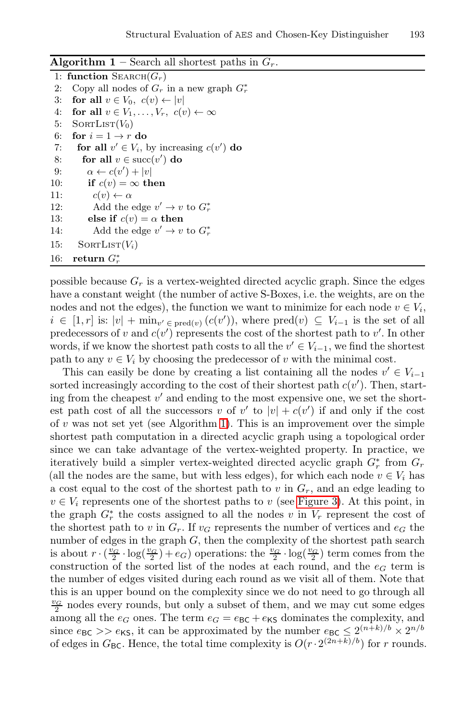<span id="page-10-0"></span>Algorithm 1 – Search all shortest paths in  $G_r$ .

1: function  $\text{SEARCH}(G_r)$ 2: Copy all nodes of  $G_r$  in a new graph  $G_r^*$ 3: for all  $v \in V_0$ ,  $c(v) \leftarrow |v|$ <br>4: for all  $v \in V_1, \ldots, V_r$ ,  $c(v)$ 4: **for all**  $v \in V_1, \ldots, V_r$ ,  $c(v) \leftarrow \infty$ <br>5: **SORTLIST**( $V_0$ ) 5: SORTLIST( $V_0$ )<br>6: **for**  $i = 1 \rightarrow r$ 6: for  $i = 1 \rightarrow r$  do<br>7: for all  $v' \in V_{i,j}$ 7: **for all**  $v' \in V_i$ , by increasing  $c(v')$  **do**<br>8: **for all**  $v \in \text{succ}(v')$  **do** 8: for all  $v \in \text{succ}(v')$  do <br>  $\alpha \leftarrow c(v') + |v|$ 9:  $\alpha \leftarrow c(v') + |v|$ <br>0: if  $c(v) = \infty$  then 10: if  $c(v) = \infty$  then<br>11:  $c(v) \leftarrow \alpha$ 11:  $c(v) \leftarrow \alpha$ <br>12: Add the 12: Add the edge  $v' \to v$  to  $G_r^*$ 13: else if  $c(v) = \alpha$  then<br>14: Add the edge  $v' \rightarrow v$ 14: Add the edge  $v' \to v$  to  $G_r^*$ 15: SORTLIST $(V_i)$ <br>16: **return**  $G_r^*$ 16: **return**  $G_r^*$ 

possible because  $G_r$  is a vertex-weighted directed acyclic graph. Since the edges have a constant weight (the number of active S-Boxes, i.e. the weights, are on the nodes and not the edges), the function we want to minimize for each node  $v \in V_i$ ,  $i \in [1, r]$  is:  $|v| + \min_{v' \in \text{pred}(v)} (c(v'))$ , where  $\text{pred}(v) \subseteq V_{i-1}$  is the set of all<br>predecessors of u and  $c(v')$  represents the cost of the shortest path to  $v'$ . In other predecessors of v and  $c(v')$  represents the cost of the shortest path to v'. In other<br>words if we know the shortest path costs to all the  $v' \in V$ . words, if we know the shortest path costs to all the  $v' \in V_{i-1}$ , we find the shortest path to any  $v \in V_i$  by choosing the predecessor of v with the minimal cost.

This can easily be done by creating a list containing all the nodes  $v' \in V_{i-1}$ sorted increasingly according to the cost of their shortest path  $c(v')$ . Then, start-<br>ing from the cheapest  $v'$  and ending to the most expensive one, we set the shorting from the cheapest  $v'$  and endi[ng to the m](#page-11-1)ost expensive one, we set the shortest path cost of all the successors v of v' to  $|v| + c(v')$  if and only if the cost<br>of v was not set vet (see Algorithm 1). This is an improvement over the simple of  $v$  was not set yet (see Algorithm 1). This is an improvement over the simple shortest path computation in a directed acyclic graph using a topological order since we can take advantage of the vertex-weighted property. In practice, we iteratively build a simpler vertex-weighted directed acyclic graph  $G_r^*$  from  $G_r$ (all the nodes are the same, but with less edges), for which each node  $v \in V_i$  has a cost equal to the cost of the shortest path to  $v$  in  $G_r$ , and an edge leading to  $v \in V_i$  represents one of the shortest paths to v (see Figure 3). At this point, in the graph  $G_r^*$  the costs assigned to all the nodes v in  $V_r$  represent the cost of the shortest path to v in  $G_r$ . If  $v_G$  represents the number of vertices and  $e_G$  the number of edges in the graph  $G$ , then the complexity of the shortest path search is about  $r \cdot (\frac{v_G}{2} \cdot \log(\frac{v_G}{2}) + e_G)$  operations: the  $\frac{v_G}{2} \cdot \log(\frac{v_G}{2})$  term comes from the construction of the sorted list of the nodes at each round, and the so term is construction of the sorted list of the nodes at each round, and the  $e_G$  term is the number of edges visited during each round as we visit all of them. Note that this is an upper bound on the complexity since we do not need to go through all  $\frac{v_G}{2}$  nodes every rounds, but only a subset of them, and we may cut some edges among all the  $e_G$  ones. The term  $e_G = e_{BC} + e_{KS}$  dominates the complexity, and since  $e_{BC} >> e_{KS}$ , it can be approximated by the number  $e_{BC} \leq 2^{(n+k)/b} \times 2^{n/b}$ of edges in  $G_{BC}$ . Hence, the total time complexity is  $O(r \cdot 2^{(2n+k)/b})$  for r rounds.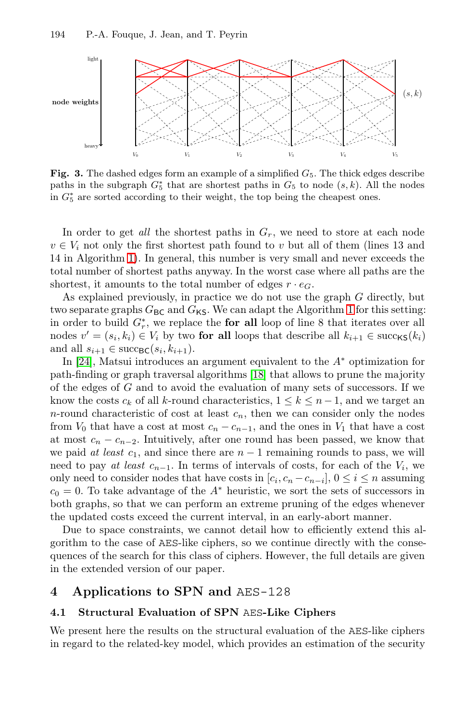<span id="page-11-1"></span>

**Fig. 3.** The dashed edges form an example of a simplified  $G_5$ . The thick edges describe paths in the subgraph  $G_5^*$  that are shortest paths in  $G_5$  to node  $(s, k)$ . All the nodes<br>in  $G_5^*$  are sorted according to their weight, the top being the channel ones in  $G_5^*$  are sorted according to their weight, the top being the cheapest ones.

In order to get *all* the shortest paths in  $G_r$ , we need to store at each node  $v \in V_i$  not only the first shortest path found to v but all of them (lines 13 and 14 in Algorithm 1). In general, this number is very small and never exceeds the total number of shortest [pat](#page-18-12)hs anyway. In the worst case where all paths are the shortest, it amounts to the total number of edges  $r \cdot e_G$ .

As explained previously, in practice we do not use the graph G directly, but two separate graphs  $G_{BC}$  and  $G_{KS}$ . We can adapt the Algorithm 1 for this setting: in order to build  $G_r^*$ , we replace the **for all** loop of line 8 that iterates over all nodes  $v' = (s_i, k_i) \in V_i$  by two **for all** loops that describe all  $k_{i+1} \in \text{succ}_{\mathsf{KS}}(k_i)$ and all  $s_{i+1} \in \text{succ}_{\mathsf{BC}}(s_i, k_{i+1}).$ 

<span id="page-11-0"></span>In [24], Matsui introduces an argument equivalent to the A<sup>∗</sup> optimization for path-finding or graph traversal algorithms [18] that allows to prune the majority of the edges of G and to avoid the evaluation of many sets of successors. If we know the costs  $c_k$  of all k-round characteristics,  $1 \leq k \leq n-1$ , and we target an n-round characteristic of cost at least  $c_n$ , then we can consider only the nodes from  $V_0$  that have a cost at most  $c_n - c_{n-1}$ , and the ones in  $V_1$  that have a cost at most  $c_n - c_{n-2}$ . Intuitively, after one round has been passed, we know that we paid *at least*  $c_1$ , and since there are  $n-1$  remaining rounds to pass, we will need to pay *at least*  $c_{n-1}$ . In terms of intervals of costs, for each of the  $V_i$ , we only need to consider nodes that have costs in  $[c_i, c_n - c_{n-i}]$ ,  $0 \le i \le n$  assuming  $c_0 = 0$ . To take advantage of the  $A^*$  heuristic, we sort the sets of successors in both graphs, so that we can perform an extreme pruning of the edges whenever the updated costs exceed the current interval, in an early-abort manner.

Due to space constraints, we cannot detail how to efficiently extend this algorithm to the case of AES-like ciphers, so we continue directly with the consequences of the search for this class of ciphers. However, the full details are given in the extended version of our paper.

# 4 Applications to SPN and AES-128

### 4.1 Structural Evaluation of SPN AES-Like Ciphers

We present here the results on the structural evaluation of the AES-like ciphers in regard to the related-key model, which provides an estimation of the security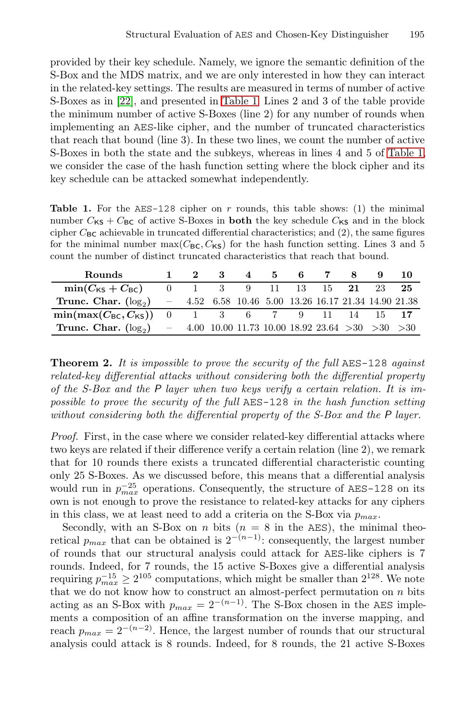<span id="page-12-0"></span>provided by their key schedule. Namely, we ignore th[e](#page-12-0) [semanti](#page-12-0)c definition of the S-Box and the MDS matrix, and we are only interested in how they can interact in the related-key settings. The results are measured in terms of number of active S-Boxes as in [22], and presented in Table 1. Lines 2 and 3 of the table provide the minimum number of active S-Boxes (line 2) for any number of rounds when implementing an AES-like cipher, and the number of truncated characteristics that reach that bound (line 3). In these two lines, we count the number of active S-Boxes in both the state and the subkeys, whereas in lines 4 and 5 of Table 1, we consider the case of the hash function setting where the block cipher and its key schedule can be attacked somewhat independently.

**Table 1.** For the AES-128 cipher on  $r$  rounds, this table shows: (1) the minimal number  $C_{\text{KS}} + C_{\text{BC}}$  of active S-Boxes in **both** the key schedule  $C_{\text{KS}}$  and in the block cipher  $C_{BC}$  achievable in truncated differential characteristics; and (2), the same figures for the minimal number  $\max(C_{BC}, C_{KS})$  for the hash function setting. Lines 3 and 5 count the number of distinct truncated characteristics that reach that bound.

| Rounds                                                                               |                                                       | 4                     | $5 -$ | 6 7 | 8 <sup>1</sup> |     |    |
|--------------------------------------------------------------------------------------|-------------------------------------------------------|-----------------------|-------|-----|----------------|-----|----|
| $min(C_{\text{KS}} + C_{\text{BC}})$                                                 | 1 3 9 11 13 15 21                                     |                       |       |     |                | 23. | 25 |
| <b>Trunc. Char.</b> ( $log_2$ ) – 4.52 6.58 10.46 5.00 13.26 16.17 21.34 14.90 21.38 |                                                       |                       |       |     |                |     |    |
| $min(max(C_{BC}, C_{KS}))$ 0                                                         |                                                       | 1 3 6 7 9 11 14 15 17 |       |     |                |     |    |
| Trunc. Char. $(\log_2)$                                                              | $-$ 4.00 10.00 11.73 10.00 18.92 23.64 > 30 > 30 > 30 |                       |       |     |                |     |    |
|                                                                                      |                                                       |                       |       |     |                |     |    |

Theorem 2. *It is impossible to prove the security of the full* AES-128 *against related-key differential attacks without considering both the differential property of the S-Box and the P layer when two keys verify a certain relation. It is impossible to prove the security of the full* AES-128 *in the hash function setting without considering both the differential property of the S-Box and the P layer.*

*Proof.* First, in the case where we consider related-key differential attacks where two keys are related if their difference verify a certain relation (line 2), we remark that for 10 rounds there exists a truncated differential characteristic counting only 25 S-Boxes. As we discussed before, this means that a differential analysis would run in  $p_{max}^{-25}$  operations. Consequently, the structure of AES-128 on its own is not enough to prove the resistance to related-key attacks for any ciphers in this class, we at least need to add a criteria on the S-Box via  $p_{max}$ .

Secondly, with an S-Box on *n* bits  $(n = 8 \text{ in the AES})$ , the minimal theo-<br>ical *n* that can be obtained is  $2^{-(n-1)}$ ; consequently the largest number retical  $p_{max}$  that can be obtained is  $2^{-(n-1)}$ : consequently, the largest number<br>of rounds that our structural analysis could attack for  $\lambda$ ES-like ciphers is 7 of rounds that our structural analysis could attack for AES-like ciphers is 7 rounds. Indeed, for 7 rounds, the 15 active S-Boxes give a differential analysis requiring  $p_{max}^{-15} \geq 2^{105}$  computations, which might be smaller than  $2^{128}$ . We note that we do not know how to construct an almost-perfect permutation on  $n$  bits acting as an S-Box with  $p_{max} = 2^{-(n-1)}$ . The S-Box chosen in the AES implements a composition of an affine transformation on the inverse mapping, and reach  $p_{max} = 2^{-(n-2)}$ . Hence, the largest number of rounds that our structural analysis could attack is 8 rounds. Indeed, for 8 rounds, the 21 active S-Boxes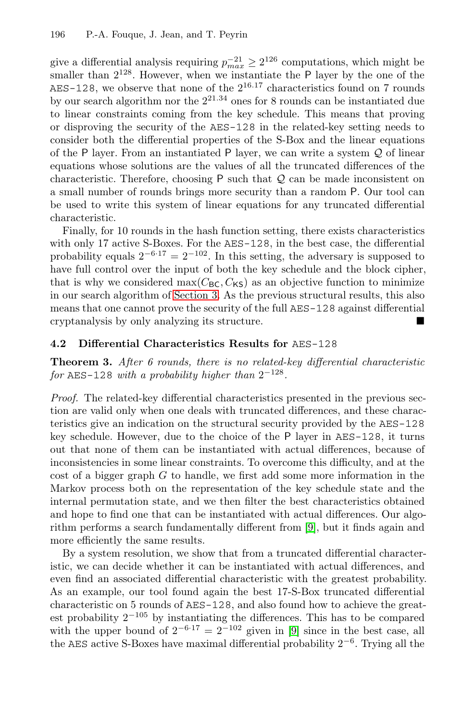<span id="page-13-0"></span>give a differential analysis requiring  $p_{max}^{-21} \geq 2^{126}$  computations, which might be smaller than  $2^{128}$ . However, when we instantiate the P layer by the one of the  $AES-128$ , we observe that none of the  $2^{16.17}$  characteristics found on 7 rounds by our search algorithm nor the  $2^{21.34}$  ones for 8 rounds can be instantiated due to linear constraints coming from the key schedule. This means that proving or disproving the security of the AES-128 in the related-key setting needs to consider both the differential properties of the S-Box and the linear equations of the P layer. From an instantiated P layer, we can write a system  $Q$  of linear equations whose solutions are the values of all the truncated differences of the characteristic. Therefore, choosing  $P$  such that  $Q$  can be made inconsistent on a small [number of](#page-6-0) rounds brings more security than a random P. Our tool can be used to write this system of linear equations for any truncated differential characteristic.

Finally, for 10 rounds in the hash function setting, there exists characteristics with only 17 active S-Boxes. For the AES-128, in the best case, the differential probability equals  $2^{-6.17} = 2^{-102}$ . In this setting, the adversary is supposed to have full control over the input of both the key schedule and the block cipher, that is why we considered max $(C_{BC}, C_{KS})$  as an objective function to minimize in our search algorithm of Section 3. As the previous structural results, this also means that one cannot prove the security of the full AES-128 against differential cryptanalysis by only analyzing its structure. -

# 4.2 Differential Characteristics Results for AES-128

Theorem 3. *After 6 rounds, there is no related-key differential characteristic for* AES-128 *with a probability higher than* <sup>2</sup><sup>−</sup><sup>128</sup>*.*

*Proof.* The related-key differential characteristics presented in the previous section are valid only when one deals with truncated differences, and these characteristics give an indication on the st[ru](#page-18-3)ctural security provided by the AES-128 key schedule. However, due to the choice of the P layer in AES-128, it turns out that none of them can be instantiated with actual differences, because of inconsistencies in some linear constraints. To overcome this difficulty, and at the cost of a bigger graph  $G$  to handle, we first add some more information in the Markov process both on the representation of the key schedule state and the internal permutation state, and we then filter the best characteristics obtained and hope to find one that can be instantiated with actual differences. Our algorithm performs a search fundam[ent](#page-18-3)ally different from [9], but it finds again and more efficiently the same results.

By a system resolution, we show that from a truncated differential characteristic, we can decide whether it can be instantiated with actual differences, and even find an associated differential characteristic with the greatest probability. As an example, our tool found again the best 17-S-Box truncated differential characteristic on 5 rounds of  $AES-128$ , and also found how to achieve the greatest probability  $2^{-105}$  by instantiating the differences. This has to be compared est probability  $2^{-105}$  by instantiating the differences. This has to be compared<br>with the upper bound of  $2^{-6 \cdot 17} - 2^{-102}$  given in [9] since in the best case all with the upper bound of  $2^{-6 \cdot 17} = 2^{-102}$  given in [9] since in the best case, all the  $2 \text{FS}$  active S-Boyes have maximal differential probability  $2^{-6}$ . Trying all the the AES active S-Boxes have maximal differential probability  $2^{-6}$ . Trying all the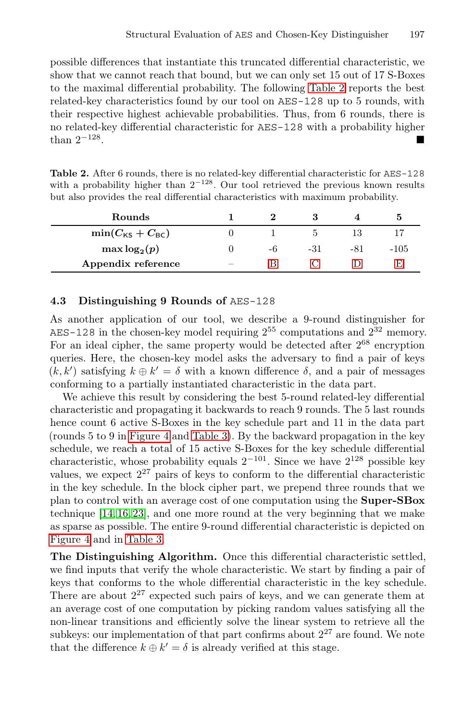possible differences that instantiate this truncated differential characteristic, we show that we cannot reach that bound, but we can only set 15 out of 17 S-Boxes to the maximal differential probability. The following Table 2 reports the best related-key characteristics found by our tool on AES-128 up to 5 rounds, with their respective highest achievable probabilities. Thus, from 6 rounds, there is no related-key differential characteristic for AES-128 with a probability higher than  $2^{-128}$ .

Table 2. After 6 rounds, there [is](#page-20-1) no rela[ted](#page-20-2)-key di[ffe](#page-20-3)rential [cha](#page-20-4)racteristic for AES-128 with a probability higher than  $2^{-128}$ . Our tool retrieved the previous known results but also provides the real differential characteristics with maximum probability.

| Rounds                               |    |     |     |        |
|--------------------------------------|----|-----|-----|--------|
| $min(C_{\text{KS}} + C_{\text{BC}})$ |    |     |     |        |
| $\max \log_2(p)$                     | -6 | -31 | -81 | $-105$ |
| Appendix reference                   |    |     |     |        |

### 4.3 Distinguishing 9 Rounds of AES-128

As another application of our tool, we describe a 9-round distinguisher for [AES-12](#page-15-0)8 i[n the cho](#page-15-1)sen-key model requiring  $2^{55}$  computations and  $2^{32}$  memory. For an ideal cipher, the same property would be detected after  $2^{68}$  encryption queries. Here, the chosen-key model asks the adversary to find a pair of keys  $(k, k')$  satisfying  $k \oplus k' = \delta$  with a known difference  $\delta$ , and a pair of messages conforming to a partially instantiated characteristic in the data part conforming to a partially instantiated characteristic in the data part.

We achieve this result by considering the best 5-round related-ley differential [ch](#page-18-13)aracteristic and propagating it backwards to reach 9 rounds. The 5 last rounds hence count 6 active S-Boxes in the key schedule part and 11 in the data part [\(round](#page-15-1)s 5 to 9 in Figure 4 and Table 3). By the backward propagation in the key schedule, we reach a total of 15 active S-Boxes for the key schedule differential characteristic, whose probability equals  $2^{-101}$ . Since we have  $2^{128}$  possible key values, we expect  $2^{27}$  pairs of keys to conform to the differential characteristic in the key schedule. In the block cipher part, we prepend three rounds that we plan to control with an average cost of one computation using the Super-SBox technique [14, 16, 23], and one more round at the very beginning that we make as sparse as possible. The entire 9-round differential characteristic is depicted on Figure 4 and in Table 3.

The Distinguishing Algorithm. Once this differential characteristic settled, we find inputs that verify the whole characteristic. We start by finding a pair of keys that conforms to the whole differential characteristic in the key schedule. There are about  $2^{27}$  expected such pairs of keys, and we can generate them at an average cost of one computation by picking random values satisfying all the non-linear transitions and efficiently solve the linear system to retrieve all the subkeys: our implementation of that part confirms about  $2^{27}$  are found. We note that the difference  $k \oplus k' = \delta$  is already verified at this stage.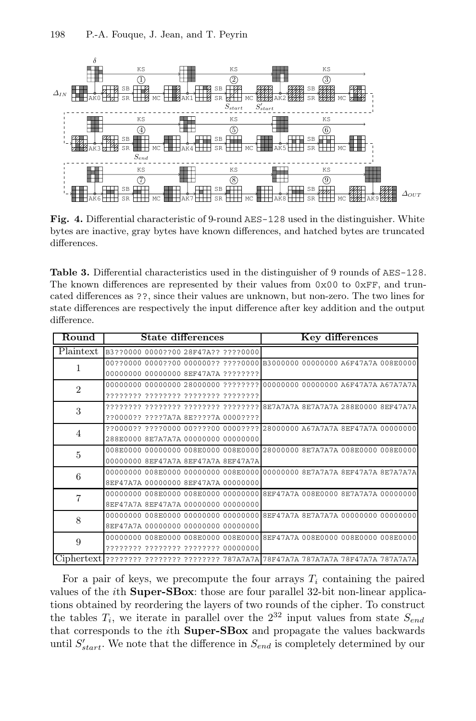<span id="page-15-0"></span>

<span id="page-15-1"></span>Fig. 4. Differential characteristic of 9-round AES-128 used in the distinguisher. White bytes are inactive, gray bytes have known differences, and hatched bytes are truncated differences.

Table 3. Differential characteristics used in the distinguisher of 9 rounds of AES-128. The known differences are represented by their values from 0x00 to 0xFF, and truncated differences as ??, since their values are unknown, but non-zero. The two lines for state differences are respectively the input difference after key addition and the output difference.

| Round          | State differences                   | Key differences                                                                    |
|----------------|-------------------------------------|------------------------------------------------------------------------------------|
| Plaintext      | B3??0000 0000??00 28F47A?? ????0000 |                                                                                    |
| 1              |                                     | 00??0000 0000??00 000000?? ????0000 B3000000 00000000 A6F47A7A 008E0000            |
|                | 00000000 00000000 8EF47A7A ???????? |                                                                                    |
| $\mathfrak{D}$ |                                     | 00000000 00000000 28000000 ??????? 00000000 00000000 A6F47A7A A67A7A7A             |
|                | ???????? ???????? ???????? ???????? |                                                                                    |
| 3              |                                     | ???????? ???????? ??????? ???????? 8E7A7A7A 8E7A7A7A 288E0000 8EF47A7A             |
|                | ??0000?? ????7A7A 8E????7A 0000???? |                                                                                    |
| 4              |                                     | ??0000?? ????0000 00????00 0000???? 28000000 A67A7A7A 8EF47A7A 00000000            |
|                | 288E0000 8E7A7A7A 00000000 00000000 |                                                                                    |
| 5              |                                     | 008E0000 00000000 008E0000 008E0000 28000000 8E7A7A7A 008E0000 008E0000            |
|                | 00000000 8EF47A7A 8EF47A7A 8EF47A7A |                                                                                    |
| 6              |                                     |                                                                                    |
|                | 8EF47A7A 00000000 8EF47A7A 00000000 |                                                                                    |
|                |                                     | 00000000 008E0000 008E0000 00000000 8EF47A7A 008E0000 8E7A7A7A 00000000            |
|                | 8EF47A7A 8EF47A7A 00000000 00000000 |                                                                                    |
| 8              |                                     | 00000000 008E0000 00000000 00000000 8EF47A7A 8E7A7A7A 00000000 00000000            |
|                | 8EF47A7A 00000000 00000000 00000000 |                                                                                    |
| 9              |                                     | 00000000 008E0000 008E0000 008E0000 8EF47A7A 008E0000 008E0000 008E0000            |
|                | ???????? ???????? ???????? 00000000 |                                                                                    |
|                |                                     | Ciphertext ???????? ???????? ???????? 787A7A7A 78F47A7A 787A7A7A 78F47A7A 787A7A7A |

For a pair of keys, we precompute the four arrays  $T_i$  containing the paired values of the <sup>i</sup>th Super-SBox: those are four parallel 32-bit non-linear applications obtained by reordering the layers of two rounds of the cipher. To construct the tables  $T_i$ , we iterate in parallel over the  $2^{32}$  input values from state  $S_{end}$ that corresponds to the ith Super-SBox and propagate the values backwards until  $S'_{start}$ . We note that the difference in  $S_{end}$  is completely determined by our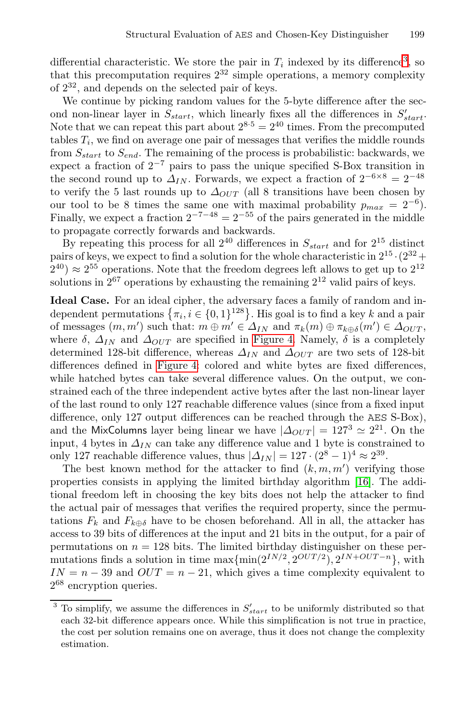differential characteristic. We store the pair in  $T_i$  indexed by its difference<sup>3</sup>, so that this precomputation requires  $2^{32}$  simple operations, a memory complexity of <sup>2</sup><sup>32</sup>, and depends on the selected pair of keys.

We continue by picking random values for the 5-byte difference after the second non-linear layer in  $S_{start}$ , which linearly fixes all the differences in  $S'_{start}$ . Note that we can repeat this part about  $2^{8.5} = 2^{40}$  times. From the precomputed tables  $T_i$ , we find on average one pair of messages that verifies the middle rounds from  $S_{start}$  to  $S_{end}$ . The remaining of the process is probabilistic: backwards, we expect a fraction of 2<sup>−</sup><sup>7</sup> pairs to pass the unique specified S-Box transition in the second round up to  $\Delta_{IN}$ . Forwards, we expect a fraction of  $2^{-6\times8} = 2^{-48}$ to verify the 5 last rounds up to  $\Delta_{OUT}$  (all 8 transitions have been chosen by our tool to be 8 times the same one with maximal probability  $p_{max} = 2^{-6}$ .<br>Finally we expect a fraction  $2^{-7-48} - 2^{-55}$  of the pairs generated in the middle Finally, we expect a fraction  $2^{-7-48} = 2^{-55}$  of the pairs generated in the middle to property forwards and beckwards to propagate correctly forwards and backwards.

By repeating this pro[cess for al](#page-15-0)l  $2^{40}$  differences in  $S_{start}$  and for  $2^{15}$  distinct pairs of keys, we expect to find a solution for the whole characteristic in  $2^{15} \cdot (2^{32} +$  $(2^{40}) \approx 2^{55}$  [ope](#page-15-0)rations. Note that the freedom degrees left allows to get up to  $2^{12}$ solutions in  $2^{67}$  operations by exhausting the remaining  $2^{12}$  valid pairs of keys.

Ideal Case. For an ideal cipher, the adversary faces a family of random and independent permutations  $\{\pi_i, i \in \{0,1\}^{128}\}\.$  His goal is to find a key k and a pair<br>of messages  $(m, m')$  such that:  $m \oplus m' \in \Delta$  w and  $\pi_i(m) \oplus \pi_i \circ (m') \in \Delta$  over of messages  $(m, m')$  such that:  $m \oplus m' \in \Delta_{IN}$  and  $\pi_k(m) \oplus \pi_{k \oplus \delta}(m') \in \Delta_{OUT}$ ,<br>where  $\delta$ ,  $\Delta_{IV}$  and  $\Delta_{OUT}$  are specified in Figure 4. Namely  $\delta$  is a completely where  $\delta$ ,  $\Delta_{IN}$  and  $\Delta_{OUT}$  are specified in Figure 4. Namely,  $\delta$  is a completely determined 128-bit difference, whereas  $\Delta_{IN}$  and  $\Delta_{OUT}$  are two sets of 128-bit differences defined in Figure 4: colored and white bytes are fixed differences, while hatched bytes can take several differenc[e va](#page-18-10)lues. On the output, we constrained each of the three independent active bytes after the last non-linear layer of the last round to only 127 reachable difference values (since from a fixed input difference, only 127 output differences can be reached through the AES S-Box), and the MixColumns layer being linear we have  $|\Delta_{OUT}| = 127^3 \approx 2^{21}$ . On the input, 4 bytes in  $\Delta_{IN}$  can take any difference value and 1 byte is constrained to only 127 reachable difference values, thus  $|\Delta_{IN}| = 127 \cdot (2^8 - 1)^4 \approx 2^{39}$ .

The best known method for the attacker to find  $(k, m, m')$  verifying those<br>poeties consists in applying the limited birthday algorithm [16]. The addiproperties consists in applying the limited birthday algorithm [16]. The additional freedom left in choosing the key bits does not help the attacker to find the actual pair of messages that verifies the required property, since the permutations  $F_k$  and  $F_{k \oplus \delta}$  have to be chosen beforehand. All in all, the attacker has access to 39 bits of differences at the input and 21 bits in the output, for a pair of permutations on  $n = 128$  bits. The limited birthday distinguisher on these perpermutations on  $n = 128$  bits. The limited birthday distinguisher on these per-<br>mutations finds a solution in time  $\max\{\min(2^{1N/2}, 2^{OUT/2})\}$   $2^{IN+OUT-n}$  with mutations finds a solution in time  $\max{\min(2^{IN/2}, 2^{OUT/2})}, 2^{IN+OUT-n}$ , with  $IN - n - 30$  and  $OUT - n - 21$  which gives a time complexity equivalent to  $IN = n - 39$  and  $OUT = n - 21$ , which gives a time complexity equivalent to <sup>2</sup><sup>68</sup> encryption queries.

<sup>&</sup>lt;sup>3</sup> To simplify, we assume the differences in  $S'_{start}$  to be uniformly distributed so that each 32-bit difference appears once. While this simplification is not true in practice, the cost per solution remains one on average, thus it does not change the complexity estimation.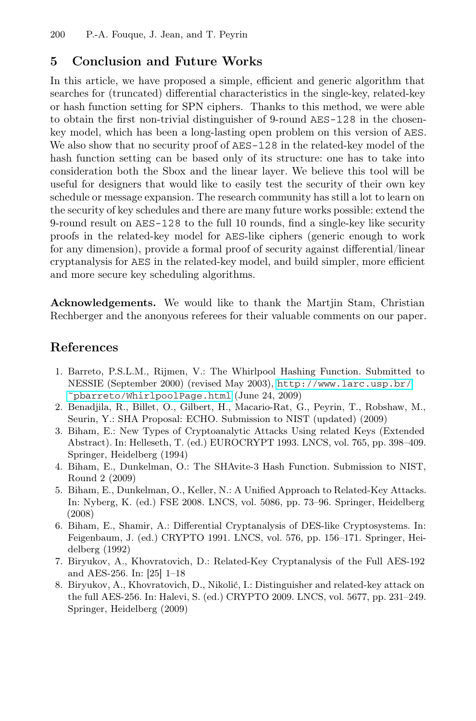# 5 Conclusion and Future Works

<span id="page-17-2"></span>In this article, we have proposed a simple, efficient and generic algorithm that searches for (truncated) differential characteristics in the single-key, related-key or hash function setting for SPN ciphers. Thanks to this method, we were able to obtain the first non-trivial distinguisher of 9-round AES-128 in the chosenkey model, which has been a long-lasting open problem on this version of AES. We also show that no security proof of  $AES-128$  in the related-key model of the hash function setting can be based only of its structure: one has to take into consideration both the Sbox and the linear layer. We believe this tool will be useful for designers that would like to easily test the security of their own key schedule or message expansion. The research community has still a lot to learn on the security of key schedules and there are many future works possible: extend the 9-round result on AES-128 to the full 10 rounds, find a single-key like security proofs in the related-key model for AES-like ciphers (generic enough to work for any dimension), provide a formal proof of security against differential/linear cryptanalysis for AES in the related-key model, and build simpler, more efficient and more secure key scheduli[ng](http://www.larc.usp.br/~pbarreto/WhirlpoolPage.html) [algorithms.](http://www.larc.usp.br/~pbarreto/WhirlpoolPage.html)

<span id="page-17-1"></span><span id="page-17-0"></span>[Acknowledgement](http://www.larc.usp.br/~pbarreto/WhirlpoolPage.html)s. We would like to thank the Martjin Stam, Christian Rechberger and the anonyous referees for their valuable comments on our paper.

# <span id="page-17-5"></span>References

- <span id="page-17-4"></span><span id="page-17-3"></span>1. Barreto, P.S.L.M., Rijmen, V.: The Whirlpool Hashing Function. Submitted to NESSIE (September 2000) (revised May 2003), http://www.larc.usp.br/ ˜pbarreto/WhirlpoolPage.html (June 24, 2009)
- 2. Benadjila, R., Billet, O., Gilbert, H., Macario-Rat, G., Peyrin, T., Robshaw, M., Seurin, Y.: SHA Proposal: ECHO. Submission to NIST (updated) (2009)
- 3. Biham, E.: New Types of Cryptoanalytic Attacks Using related Keys (Extended Abstract). In: Helleseth, T. (ed.) EUROCRYPT 1993. LNCS, vol. 765, pp. 398–409. Springer, Heidelberg (1994)
- 4. Biham, E., Dunkelman, O.: The SHAvite-3 Hash Function. Submission to NIST, Round 2 (2009)
- 5. Biham, E., Dunkelman, O., Keller, N.: A Unified Approach to Related-Key Attacks. In: Nyberg, K. (ed.) FSE 2008. LNCS, vol. 5086, pp. 73–96. Springer, Heidelberg (2008)
- 6. Biham, E., Shamir, A.: Differential Cryptanalysis of DES-like Cryptosystems. In: Feigenbaum, J. (ed.) CRYPTO 1991. LNCS, vol. 576, pp. 156–171. Springer, Heidelberg (1992)
- 7. Biryukov, A., Khovratovich, D.: Related-Key Cryptanalysis of the Full AES-192 and AES-256. In: [25] 1–18
- 8. Biryukov, A., Khovratovich, D., Nikolić, I.: Distinguisher and related-key attack on the full AES-256. In: Halevi, S. (ed.) CRYPTO 2009. LNCS, vol. 5677, pp. 231–249. Springer, Heidelberg (2009)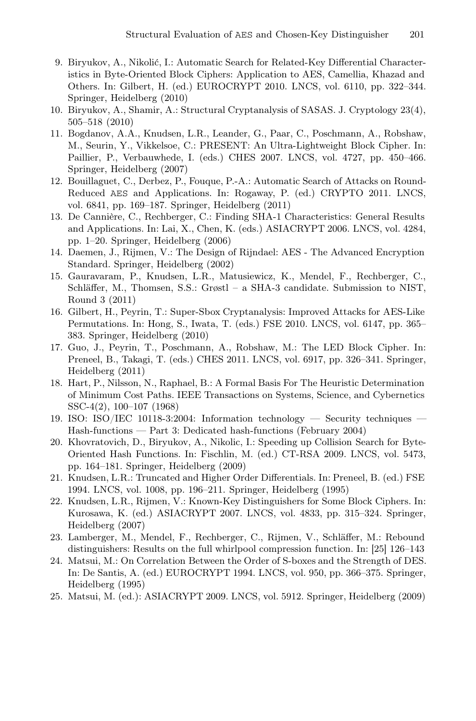- <span id="page-18-9"></span><span id="page-18-4"></span><span id="page-18-3"></span><span id="page-18-2"></span>9. Biryukov, A., Nikolić, I.: Automatic Search for Related-Key Differential Characteristics in Byte-Oriented Block Ciphers: Application to AES, Camellia, Khazad and Others. In: Gilbert, H. (ed.) EUROCRYPT 2010. LNCS, vol. 6110, pp. 322–344. Springer, Heidelberg (2010)
- <span id="page-18-5"></span>10. Biryukov, A., Shamir, A.: Structural Cryptanalysis of SASAS. J. Cryptology 23(4), 505–518 (2010)
- <span id="page-18-7"></span>11. Bogdanov, A.A., Knudsen, L.R., Leander, G., Paar, C., Poschmann, A., Robshaw, M., Seurin, Y., Vikkelsoe, C.: PRESENT: An Ultra-Lightweight Block Cipher. In: Paillier, P., Verbauwhede, I. (eds.) CHES 2007. LNCS, vol. 4727, pp. 450–466. Springer, Heidelberg (2007)
- 12. Bouillaguet, C., Derbez, P., Fouque, P.-A.: Automatic Search of Attacks on Round-Reduced AES and Applications. In: Rogaway, P. (ed.) CRYPTO 2011. LNCS, vol. 6841, pp. 169–187. Springer, Heidelberg (2011)
- <span id="page-18-10"></span>13. De Cannière, C., Rechberger, C.: Finding SHA-1 Characteristics: General Results and Applications. In: Lai, X., Chen, K. (eds.) ASIACRYPT 2006. LNCS, vol. 4284, pp. 1–20. Springer, Heidelberg (2006)
- <span id="page-18-1"></span>14. Daemen, J., Rijmen, V.: The Design of Rijndael: AES - The Advanced Encryption Standard. Springer, Heidelberg (2002)
- <span id="page-18-12"></span>15. Gauravaram, P., Knudsen, L.R., Matusiewicz, K., Mendel, F., Rechberger, C., Schläffer, M., Thomsen, S.S.: Grøstl – a SHA-3 candidate. Submission to NIST, Round 3 (2011)
- <span id="page-18-0"></span>16. Gilbert, H., Peyrin, T.: Super-Sbox Cryptanalysis: Improved Attacks for AES-Like Permutations. In: Hong, S., Iwata, T. (eds.) FSE 2010. LNCS, vol. 6147, pp. 365– 383. Springer, Heidelberg (2010)
- <span id="page-18-6"></span>17. Guo, J., Peyrin, T., Poschmann, A., Robshaw, M.: The LED Block Cipher. In: Preneel, B., Takagi, T. (eds.) CHES 2011. LNCS, vol. 6917, pp. 326–341. Springer, Heidelberg (2011)
- <span id="page-18-11"></span>18. Hart, P., Nilsson, N., Raphael, B.: A Formal Basis For The Heuristic Determination of Minimum Cost Paths. IEEE Transactions on Systems, Science, and Cybernetics SSC-4(2), 100–107 (1968)
- 19. ISO: ISO/IEC 10118-3:2004: Information technology Security techniques Hash-functions — Part 3: Dedicated hash-functions (February 2004)
- <span id="page-18-13"></span>20. Khovratovich, D., Biryukov, A., Nikolic, I.: Speeding up Collision Search for Byte-Oriented Hash Functions. In: Fischlin, M. (ed.) CT-RSA 2009. LNCS, vol. 5473, pp. 164–181. Springer, Heidelberg (2009)
- <span id="page-18-8"></span>21. Knudsen, L.R.: Truncated and Higher Order Differentials. In: Preneel, B. (ed.) FSE 1994. LNCS, vol. 1008, pp. 196–211. Springer, Heidelberg (1995)
- 22. Knudsen, L.R., Rijmen, V.: Known-Key Distinguishers for Some Block Ciphers. In: Kurosawa, K. (ed.) ASIACRYPT 2007. LNCS, vol. 4833, pp. 315–324. Springer, Heidelberg (2007)
- 23. Lamberger, M., Mendel, F., Rechberger, C., Rijmen, V., Schläffer, M.: Rebound distinguishers: Results on the full whirlpool compression function. In: [25] 126–143
- 24. Matsui, M.: On Correlation Between the Order of S-boxes and the Strength of DES. In: De Santis, A. (ed.) EUROCRYPT 1994. LNCS, vol. 950, pp. 366–375. Springer, Heidelberg (1995)
- 25. Matsui, M. (ed.): ASIACRYPT 2009. LNCS, vol. 5912. Springer, Heidelberg (2009)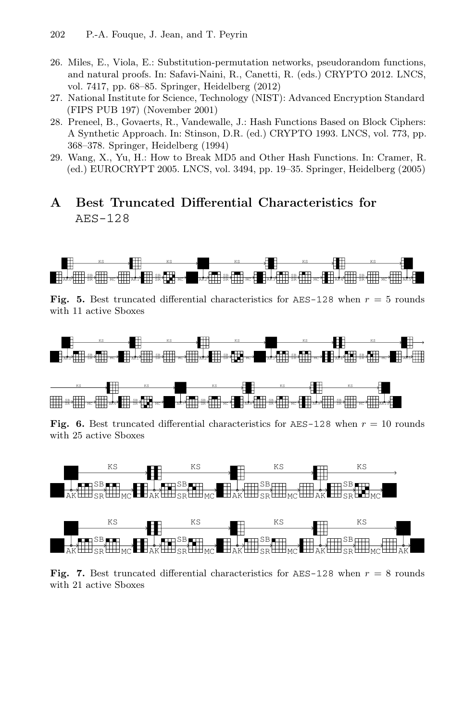- <span id="page-19-1"></span><span id="page-19-0"></span>26. Miles, E., Viola, E.: Substitution-permutation networks, pseudorandom functions, and natural proofs. In: Safavi-Naini, R., Canetti, R. (eds.) CRYPTO 2012. LNCS, vol. 7417, pp. 68–85. Springer, Heidelberg (2012)
- 27. National Institute for Science, Technology (NIST): Advanced Encryption Standard (FIPS PUB 197) (November 2001)
- 28. Preneel, B., Govaerts, R., Vandewalle, J.: Hash Functions Based on Block Ciphers: A Synthetic Approach. In: Stinson, D.R. (ed.) CRYPTO 1993. LNCS, vol. 773, pp. 368–378. Springer, Heidelberg (1994)
- 29. Wang, X., Yu, H.: How to Break MD5 and Other Hash Functions. In: Cramer, R. (ed.) EUROCRYPT 2005. LNCS, vol. 3494, pp. 19–35. Springer, Heidelberg (2005)

# A Best Truncated Differential Characteristics for AES-128



Fig. 5. Best truncated differential characteristics for AES-128 when  $r = 5$  rounds with 11 active Sboxes



Fig. 6. Best truncated differential characteristics for AES-128 when  $r = 10$  rounds with 25 active Sboxes



**Fig. 7.** Best truncated differential characteristics for AES-128 when  $r = 8$  rounds with 21 active Sboxes